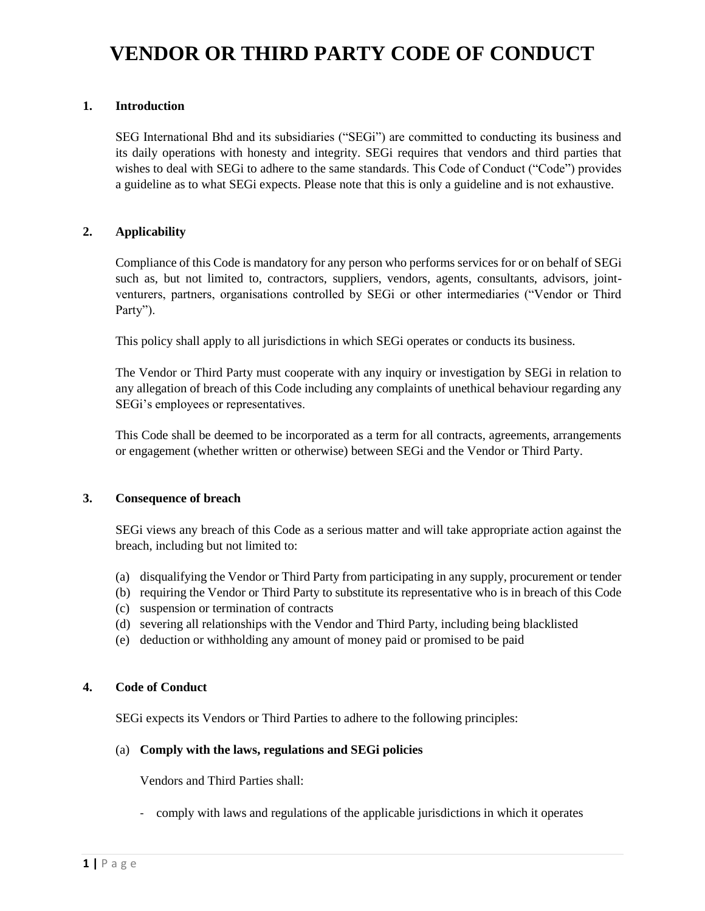# **VENDOR OR THIRD PARTY CODE OF CONDUCT**

## **1. Introduction**

SEG International Bhd and its subsidiaries ("SEGi") are committed to conducting its business and its daily operations with honesty and integrity. SEGi requires that vendors and third parties that wishes to deal with SEGi to adhere to the same standards. This Code of Conduct ("Code") provides a guideline as to what SEGi expects. Please note that this is only a guideline and is not exhaustive.

## **2. Applicability**

Compliance of this Code is mandatory for any person who performs services for or on behalf of SEGi such as, but not limited to, contractors, suppliers, vendors, agents, consultants, advisors, jointventurers, partners, organisations controlled by SEGi or other intermediaries ("Vendor or Third Party").

This policy shall apply to all jurisdictions in which SEGi operates or conducts its business.

The Vendor or Third Party must cooperate with any inquiry or investigation by SEGi in relation to any allegation of breach of this Code including any complaints of unethical behaviour regarding any SEGi's employees or representatives.

This Code shall be deemed to be incorporated as a term for all contracts, agreements, arrangements or engagement (whether written or otherwise) between SEGi and the Vendor or Third Party.

#### **3. Consequence of breach**

SEGi views any breach of this Code as a serious matter and will take appropriate action against the breach, including but not limited to:

- (a) disqualifying the Vendor or Third Party from participating in any supply, procurement or tender
- (b) requiring the Vendor or Third Party to substitute its representative who is in breach of this Code
- (c) suspension or termination of contracts
- (d) severing all relationships with the Vendor and Third Party, including being blacklisted
- (e) deduction or withholding any amount of money paid or promised to be paid

## **4. Code of Conduct**

SEGi expects its Vendors or Third Parties to adhere to the following principles:

#### (a) **Comply with the laws, regulations and SEGi policies**

Vendors and Third Parties shall:

- comply with laws and regulations of the applicable jurisdictions in which it operates